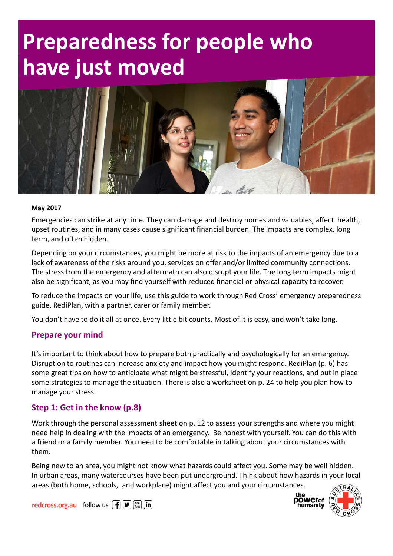# Preparedness for people who have just moved



#### May 2017

Emergencies can strike at any time. They can damage and destroy homes and valuables, affect health, upset routines, and in many cases cause significant financial burden. The impacts are complex, long term, and often hidden.

Depending on your circumstances, you might be more at risk to the impacts of an emergency due to a lack of awareness of the risks around you, services on offer and/or limited community connections. The stress from the emergency and aftermath can also disrupt your life. The long term impacts might also be significant, as you may find yourself with reduced financial or physical capacity to recover.

To reduce the impacts on your life, use this guide to work through Red Cross' emergency preparedness guide, RediPlan, with a partner, carer or family member.

You don't have to do it all at once. Every little bit counts. Most of it is easy, and won't take long.

#### Prepare your mind

It's important to think about how to prepare both practically and psychologically for an emergency. Disruption to routines can increase anxiety and impact how you might respond. RediPlan (p. 6) has some great tips on how to anticipate what might be stressful, identify your reactions, and put in place some strategies to manage the situation. There is also a worksheet on p. 24 to help you plan how to manage your stress.

#### Step 1: Get in the know (p.8)

Work through the personal assessment sheet on p. 12 to assess your strengths and where you might need help in dealing with the impacts of an emergency. Be honest with yourself. You can do this with a friend or a family member. You need to be comfortable in talking about your circumstances with them.

Being new to an area, you might not know what hazards could affect you. Some may be well hidden. In urban areas, many watercourses have been put underground. Think about how hazards in your local areas (both home, schools, and workplace) might affect you and your circumstances.